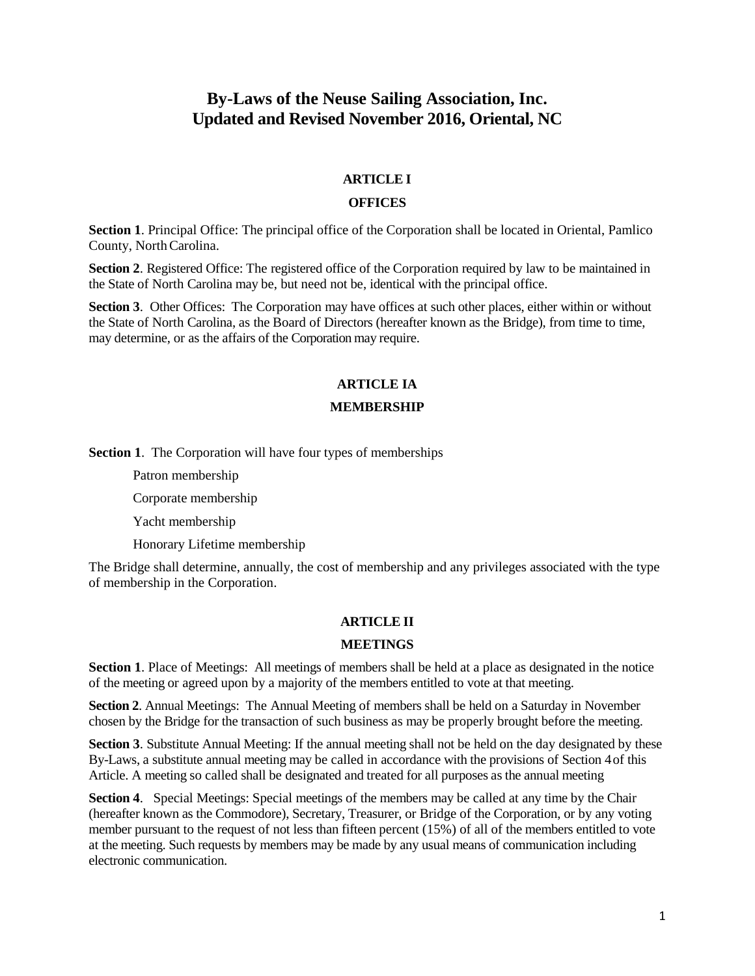# **By-Laws of the Neuse Sailing Association, Inc. Updated and Revised November 2016, Oriental, NC**

### **ARTICLE I**

#### **OFFICES**

**Section 1**. Principal Office: The principal office of the Corporation shall be located in Oriental, Pamlico County, NorthCarolina.

**Section 2.** Registered Office: The registered office of the Corporation required by law to be maintained in the State of North Carolina may be, but need not be, identical with the principal office.

**Section 3.** Other Offices: The Corporation may have offices at such other places, either within or without the State of North Carolina, as the Board of Directors (hereafter known as the Bridge), from time to time, may determine, or as the affairs of the Corporation may require.

## **ARTICLE IA**

#### **MEMBERSHIP**

**Section 1**. The Corporation will have four types of memberships

Patron membership

Corporate membership

Yacht membership

Honorary Lifetime membership

The Bridge shall determine, annually, the cost of membership and any privileges associated with the type of membership in the Corporation.

### **ARTICLE II**

#### **MEETINGS**

**Section 1**. Place of Meetings: All meetings of members shall be held at a place as designated in the notice of the meeting or agreed upon by a majority of the members entitled to vote at that meeting.

**Section 2**. Annual Meetings: The Annual Meeting of members shall be held on a Saturday in November chosen by the Bridge for the transaction of such business as may be properly brought before the meeting.

**Section 3**. Substitute Annual Meeting: If the annual meeting shall not be held on the day designated by these By-Laws, a substitute annual meeting may be called in accordance with the provisions of Section 4of this Article. A meeting so called shall be designated and treated for all purposes as the annual meeting

**Section 4.** Special Meetings: Special meetings of the members may be called at any time by the Chair (hereafter known as the Commodore), Secretary, Treasurer, or Bridge of the Corporation, or by any voting member pursuant to the request of not less than fifteen percent (15%) of all of the members entitled to vote at the meeting. Such requests by members may be made by any usual means of communication including electronic communication.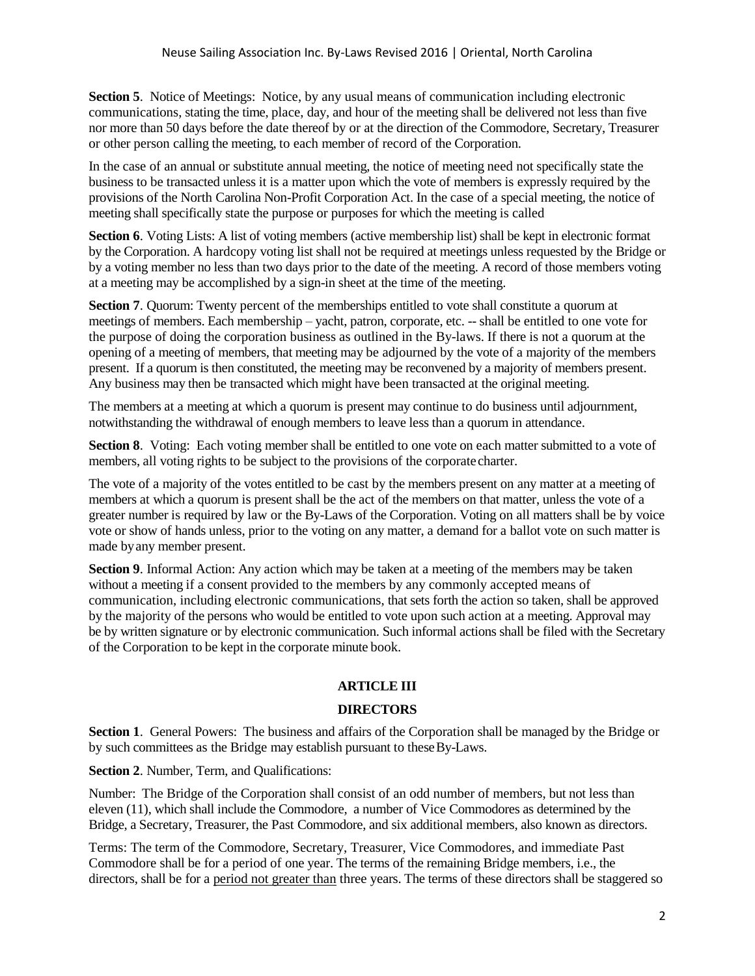**Section 5.** Notice of Meetings: Notice, by any usual means of communication including electronic communications, stating the time, place, day, and hour of the meeting shall be delivered not less than five nor more than 50 days before the date thereof by or at the direction of the Commodore, Secretary, Treasurer or other person calling the meeting, to each member of record of the Corporation.

In the case of an annual or substitute annual meeting, the notice of meeting need not specifically state the business to be transacted unless it is a matter upon which the vote of members is expressly required by the provisions of the North Carolina Non-Profit Corporation Act. In the case of a special meeting, the notice of meeting shall specifically state the purpose or purposes for which the meeting is called

**Section 6**. Voting Lists: A list of voting members (active membership list) shall be kept in electronic format by the Corporation. A hardcopy voting list shall not be required at meetings unless requested by the Bridge or by a voting member no less than two days prior to the date of the meeting. A record of those members voting at a meeting may be accomplished by a sign-in sheet at the time of the meeting.

**Section 7.** Quorum: Twenty percent of the memberships entitled to vote shall constitute a quorum at meetings of members. Each membership – yacht, patron, corporate, etc. -- shall be entitled to one vote for the purpose of doing the corporation business as outlined in the By-laws. If there is not a quorum at the opening of a meeting of members, that meeting may be adjourned by the vote of a majority of the members present. If a quorum is then constituted, the meeting may be reconvened by a majority of members present. Any business may then be transacted which might have been transacted at the original meeting.

The members at a meeting at which a quorum is present may continue to do business until adjournment, notwithstanding the withdrawal of enough members to leave less than a quorum in attendance.

**Section 8.** Voting: Each voting member shall be entitled to one vote on each matter submitted to a vote of members, all voting rights to be subject to the provisions of the corporate charter.

The vote of a majority of the votes entitled to be cast by the members present on any matter at a meeting of members at which a quorum is present shall be the act of the members on that matter, unless the vote of a greater number is required by law or the By-Laws of the Corporation. Voting on all matters shall be by voice vote or show of hands unless, prior to the voting on any matter, a demand for a ballot vote on such matter is made byany member present.

**Section 9**. Informal Action: Any action which may be taken at a meeting of the members may be taken without a meeting if a consent provided to the members by any commonly accepted means of communication, including electronic communications, that sets forth the action so taken, shall be approved by the majority of the persons who would be entitled to vote upon such action at a meeting. Approval may be by written signature or by electronic communication. Such informal actions shall be filed with the Secretary of the Corporation to be kept in the corporate minute book.

### **ARTICLE III**

### **DIRECTORS**

Section 1. General Powers: The business and affairs of the Corporation shall be managed by the Bridge or by such committees as the Bridge may establish pursuant to theseBy-Laws.

**Section 2**. Number, Term, and Qualifications:

Number: The Bridge of the Corporation shall consist of an odd number of members, but not less than eleven (11), which shall include the Commodore, a number of Vice Commodores as determined by the Bridge, a Secretary, Treasurer, the Past Commodore, and six additional members, also known as directors.

Terms: The term of the Commodore, Secretary, Treasurer, Vice Commodores, and immediate Past Commodore shall be for a period of one year. The terms of the remaining Bridge members, i.e., the directors, shall be for a period not greater than three years. The terms of these directors shall be staggered so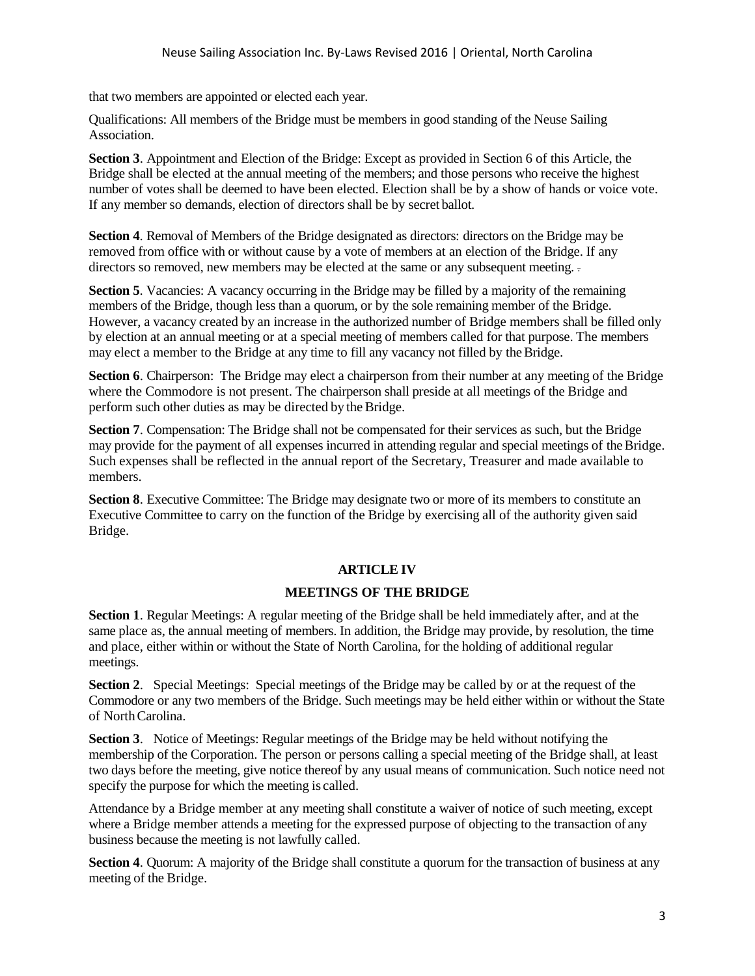that two members are appointed or elected each year.

Qualifications: All members of the Bridge must be members in good standing of the Neuse Sailing Association.

**Section 3**. Appointment and Election of the Bridge: Except as provided in Section 6 of this Article, the Bridge shall be elected at the annual meeting of the members; and those persons who receive the highest number of votes shall be deemed to have been elected. Election shall be by a show of hands or voice vote. If any member so demands, election of directors shall be by secret ballot.

**Section 4**. Removal of Members of the Bridge designated as directors: directors on the Bridge may be removed from office with or without cause by a vote of members at an election of the Bridge. If any directors so removed, new members may be elected at the same or any subsequent meeting.

**Section 5**. Vacancies: A vacancy occurring in the Bridge may be filled by a majority of the remaining members of the Bridge, though less than a quorum, or by the sole remaining member of the Bridge. However, a vacancy created by an increase in the authorized number of Bridge members shall be filled only by election at an annual meeting or at a special meeting of members called for that purpose. The members may elect a member to the Bridge at any time to fill any vacancy not filled by theBridge.

**Section 6.** Chairperson: The Bridge may elect a chairperson from their number at any meeting of the Bridge where the Commodore is not present. The chairperson shall preside at all meetings of the Bridge and perform such other duties as may be directed by the Bridge.

**Section 7**. Compensation: The Bridge shall not be compensated for their services as such, but the Bridge may provide for the payment of all expenses incurred in attending regular and special meetings of theBridge. Such expenses shall be reflected in the annual report of the Secretary, Treasurer and made available to members.

**Section 8.** Executive Committee: The Bridge may designate two or more of its members to constitute an Executive Committee to carry on the function of the Bridge by exercising all of the authority given said Bridge.

# **ARTICLE IV**

# **MEETINGS OF THE BRIDGE**

**Section 1**. Regular Meetings: A regular meeting of the Bridge shall be held immediately after, and at the same place as, the annual meeting of members. In addition, the Bridge may provide, by resolution, the time and place, either within or without the State of North Carolina, for the holding of additional regular meetings.

**Section 2**. Special Meetings: Special meetings of the Bridge may be called by or at the request of the Commodore or any two members of the Bridge. Such meetings may be held either within or without the State of NorthCarolina.

**Section 3**. Notice of Meetings: Regular meetings of the Bridge may be held without notifying the membership of the Corporation. The person or persons calling a special meeting of the Bridge shall, at least two days before the meeting, give notice thereof by any usual means of communication. Such notice need not specify the purpose for which the meeting is called.

Attendance by a Bridge member at any meeting shall constitute a waiver of notice of such meeting, except where a Bridge member attends a meeting for the expressed purpose of objecting to the transaction of any business because the meeting is not lawfully called.

**Section 4.** Quorum: A majority of the Bridge shall constitute a quorum for the transaction of business at any meeting of the Bridge.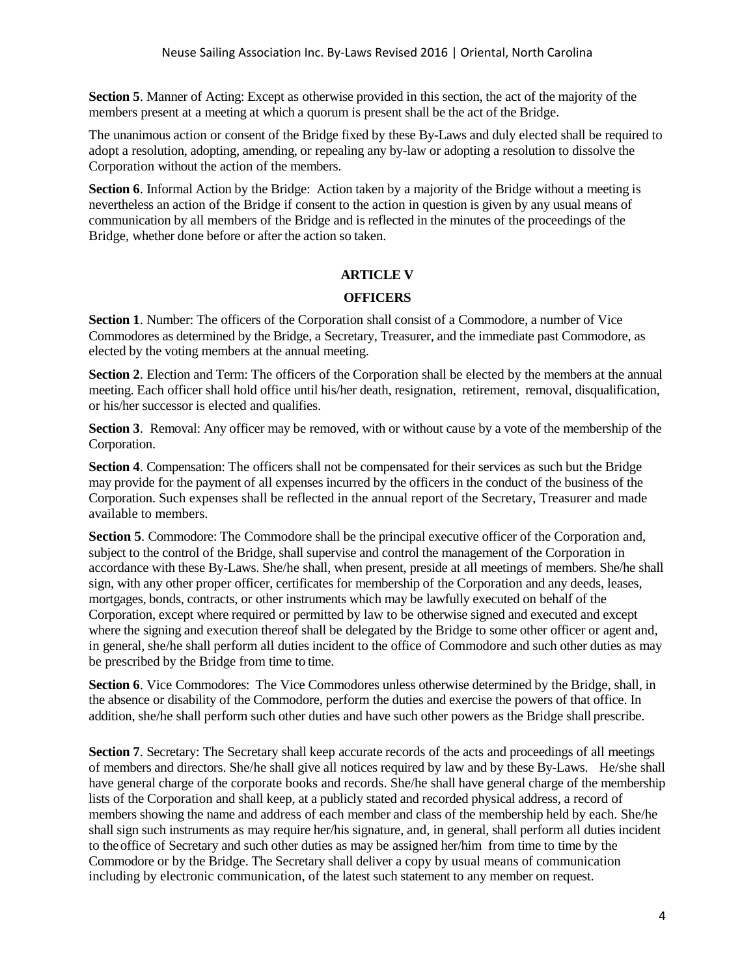**Section 5**. Manner of Acting: Except as otherwise provided in this section, the act of the majority of the members present at a meeting at which a quorum is present shall be the act of the Bridge.

The unanimous action or consent of the Bridge fixed by these By-Laws and duly elected shall be required to adopt a resolution, adopting, amending, or repealing any by-law or adopting a resolution to dissolve the Corporation without the action of the members.

**Section 6**. Informal Action by the Bridge: Action taken by a majority of the Bridge without a meeting is nevertheless an action of the Bridge if consent to the action in question is given by any usual means of communication by all members of the Bridge and is reflected in the minutes of the proceedings of the Bridge, whether done before or after the action so taken.

# **ARTICLE V**

# **OFFICERS**

**Section 1**. Number: The officers of the Corporation shall consist of a Commodore, a number of Vice Commodores as determined by the Bridge, a Secretary, Treasurer, and the immediate past Commodore, as elected by the voting members at the annual meeting.

**Section 2.** Election and Term: The officers of the Corporation shall be elected by the members at the annual meeting. Each officer shall hold office until his/her death, resignation, retirement, removal, disqualification, or his/her successor is elected and qualifies.

**Section 3**. Removal: Any officer may be removed, with or without cause by a vote of the membership of the Corporation.

**Section 4**. Compensation: The officers shall not be compensated for their services as such but the Bridge may provide for the payment of all expenses incurred by the officers in the conduct of the business of the Corporation. Such expenses shall be reflected in the annual report of the Secretary, Treasurer and made available to members.

**Section 5**. Commodore: The Commodore shall be the principal executive officer of the Corporation and, subject to the control of the Bridge, shall supervise and control the management of the Corporation in accordance with these By-Laws. She/he shall, when present, preside at all meetings of members. She/he shall sign, with any other proper officer, certificates for membership of the Corporation and any deeds, leases, mortgages, bonds, contracts, or other instruments which may be lawfully executed on behalf of the Corporation, except where required or permitted by law to be otherwise signed and executed and except where the signing and execution thereof shall be delegated by the Bridge to some other officer or agent and, in general, she/he shall perform all duties incident to the office of Commodore and such other duties as may be prescribed by the Bridge from time to time.

**Section 6**. Vice Commodores: The Vice Commodores unless otherwise determined by the Bridge, shall, in the absence or disability of the Commodore, perform the duties and exercise the powers of that office. In addition, she/he shall perform such other duties and have such other powers as the Bridge shall prescribe.

**Section 7**. Secretary: The Secretary shall keep accurate records of the acts and proceedings of all meetings of members and directors. She/he shall give all notices required by law and by these By-Laws. He/she shall have general charge of the corporate books and records. She/he shall have general charge of the membership lists of the Corporation and shall keep, at a publicly stated and recorded physical address, a record of members showing the name and address of each member and class of the membership held by each. She/he shall sign such instruments as may require her/his signature, and, in general, shall perform all duties incident to theoffice of Secretary and such other duties as may be assigned her/him from time to time by the Commodore or by the Bridge. The Secretary shall deliver a copy by usual means of communication including by electronic communication, of the latest such statement to any member on request.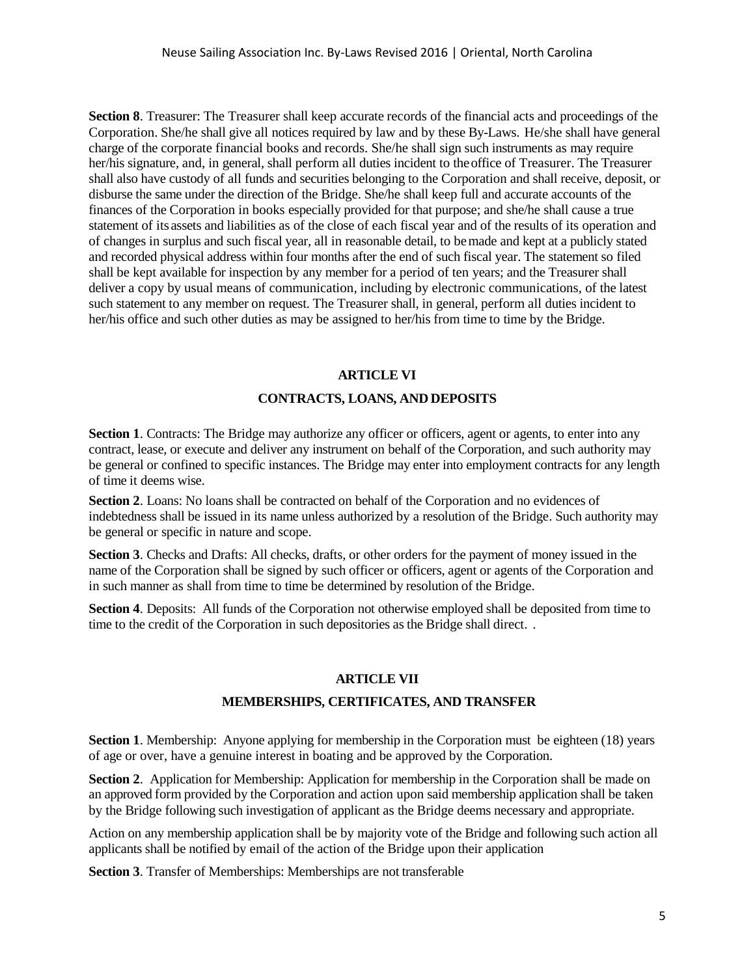**Section 8**. Treasurer: The Treasurer shall keep accurate records of the financial acts and proceedings of the Corporation. She/he shall give all notices required by law and by these By-Laws. He/she shall have general charge of the corporate financial books and records. She/he shall sign such instruments as may require her/his signature, and, in general, shall perform all duties incident to the office of Treasurer. The Treasurer shall also have custody of all funds and securities belonging to the Corporation and shall receive, deposit, or disburse the same under the direction of the Bridge. She/he shall keep full and accurate accounts of the finances of the Corporation in books especially provided for that purpose; and she/he shall cause a true statement of its assets and liabilities as of the close of each fiscal year and of the results of its operation and of changes in surplus and such fiscal year, all in reasonable detail, to bemade and kept at a publicly stated and recorded physical address within four months after the end of such fiscal year. The statement so filed shall be kept available for inspection by any member for a period of ten years; and the Treasurer shall deliver a copy by usual means of communication, including by electronic communications, of the latest such statement to any member on request. The Treasurer shall, in general, perform all duties incident to her/his office and such other duties as may be assigned to her/his from time to time by the Bridge.

### **ARTICLE VI**

#### **CONTRACTS, LOANS, AND DEPOSITS**

**Section 1**. Contracts: The Bridge may authorize any officer or officers, agent or agents, to enter into any contract, lease, or execute and deliver any instrument on behalf of the Corporation, and such authority may be general or confined to specific instances. The Bridge may enter into employment contracts for any length of time it deems wise.

**Section 2**. Loans: No loans shall be contracted on behalf of the Corporation and no evidences of indebtedness shall be issued in its name unless authorized by a resolution of the Bridge. Such authority may be general or specific in nature and scope.

**Section 3**. Checks and Drafts: All checks, drafts, or other orders for the payment of money issued in the name of the Corporation shall be signed by such officer or officers, agent or agents of the Corporation and in such manner as shall from time to time be determined by resolution of the Bridge.

**Section 4**. Deposits: All funds of the Corporation not otherwise employed shall be deposited from time to time to the credit of the Corporation in such depositories as the Bridge shall direct. .

### **ARTICLE VII**

### **MEMBERSHIPS, CERTIFICATES, AND TRANSFER**

**Section 1.** Membership: Anyone applying for membership in the Corporation must be eighteen (18) years of age or over, have a genuine interest in boating and be approved by the Corporation.

**Section 2.** Application for Membership: Application for membership in the Corporation shall be made on an approved form provided by the Corporation and action upon said membership application shall be taken by the Bridge following such investigation of applicant as the Bridge deems necessary and appropriate.

Action on any membership application shall be by majority vote of the Bridge and following such action all applicants shall be notified by email of the action of the Bridge upon their application

**Section 3**. Transfer of Memberships: Memberships are not transferable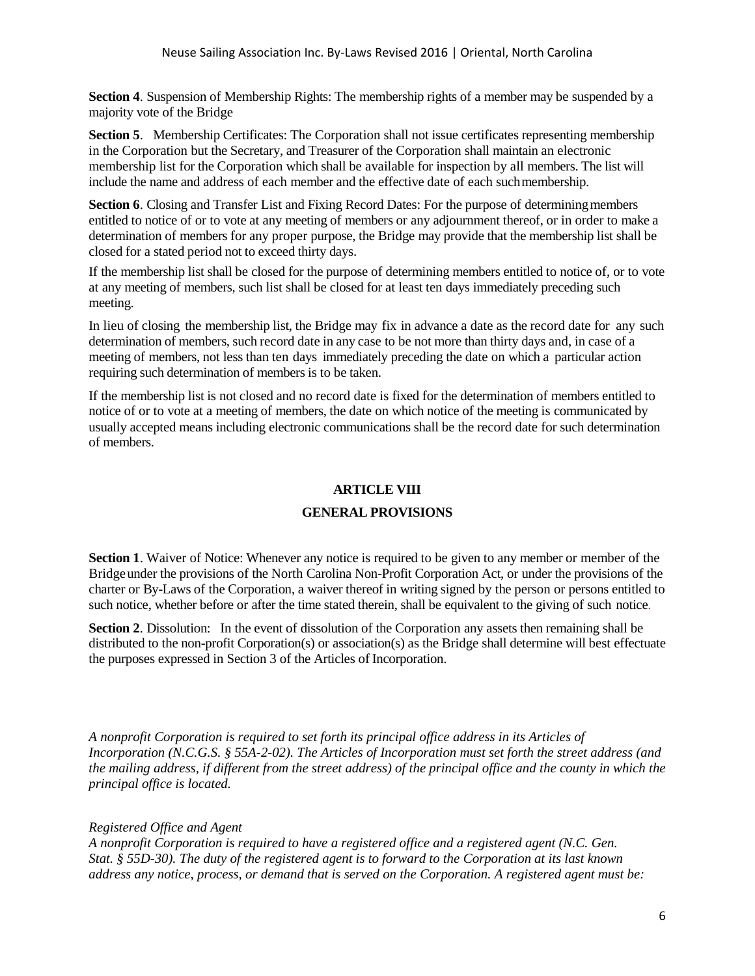**Section 4**. Suspension of Membership Rights: The membership rights of a member may be suspended by a majority vote of the Bridge

**Section 5.** Membership Certificates: The Corporation shall not issue certificates representing membership in the Corporation but the Secretary, and Treasurer of the Corporation shall maintain an electronic membership list for the Corporation which shall be available for inspection by all members. The list will include the name and address of each member and the effective date of each suchmembership.

**Section 6.** Closing and Transfer List and Fixing Record Dates: For the purpose of determining members entitled to notice of or to vote at any meeting of members or any adjournment thereof, or in order to make a determination of members for any proper purpose, the Bridge may provide that the membership list shall be closed for a stated period not to exceed thirty days.

If the membership list shall be closed for the purpose of determining members entitled to notice of, or to vote at any meeting of members, such list shall be closed for at least ten days immediately preceding such meeting.

In lieu of closing the membership list, the Bridge may fix in advance a date as the record date for any such determination of members, such record date in any case to be not more than thirty days and, in case of a meeting of members, not less than ten days immediately preceding the date on which a particular action requiring such determination of members is to be taken.

If the membership list is not closed and no record date is fixed for the determination of members entitled to notice of or to vote at a meeting of members, the date on which notice of the meeting is communicated by usually accepted means including electronic communications shall be the record date for such determination of members.

# **ARTICLE VIII**

# **GENERAL PROVISIONS**

**Section 1**. Waiver of Notice: Whenever any notice is required to be given to any member or member of the Bridgeunder the provisions of the North Carolina Non-Profit Corporation Act, or under the provisions of the charter or By-Laws of the Corporation, a waiver thereof in writing signed by the person or persons entitled to such notice, whether before or after the time stated therein, shall be equivalent to the giving of such notice.

**Section 2.** Dissolution: In the event of dissolution of the Corporation any assets then remaining shall be distributed to the non-profit Corporation(s) or association(s) as the Bridge shall determine will best effectuate the purposes expressed in Section 3 of the Articles of Incorporation.

*A nonprofit Corporation is required to set forth its principal office address in its Articles of Incorporation (N.C.G.S. § 55A-2-02). The Articles of Incorporation must set forth the street address (and the mailing address, if different from the street address) of the principal office and the county in which the principal office is located.*

# *Registered Office and Agent*

*A nonprofit Corporation is required to have a registered office and a registered agent (N.C. Gen. Stat. § 55D-30). The duty of the registered agent is to forward to the Corporation at its last known address any notice, process, or demand that is served on the Corporation. A registered agent must be:*